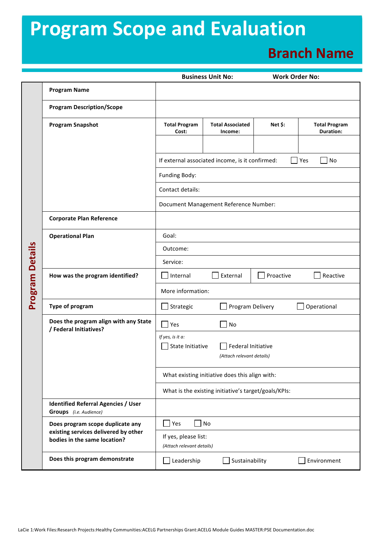## **Program Scope and Evaluation**

## **Branch Name**

|                 |                                                                      |                                                                                                | <b>Business Unit No:</b>              | <b>Work Order No:</b> |                                   |  |  |  |
|-----------------|----------------------------------------------------------------------|------------------------------------------------------------------------------------------------|---------------------------------------|-----------------------|-----------------------------------|--|--|--|
|                 | <b>Program Name</b>                                                  |                                                                                                |                                       |                       |                                   |  |  |  |
|                 | <b>Program Description/Scope</b>                                     |                                                                                                |                                       |                       |                                   |  |  |  |
|                 | <b>Program Snapshot</b>                                              | <b>Total Program</b><br>Cost:                                                                  | <b>Total Associated</b><br>Income:    | Net \$:               | <b>Total Program</b><br>Duration: |  |  |  |
|                 |                                                                      |                                                                                                |                                       |                       |                                   |  |  |  |
|                 |                                                                      | If external associated income, is it confirmed:<br>Yes<br>No<br>Funding Body:                  |                                       |                       |                                   |  |  |  |
|                 |                                                                      |                                                                                                |                                       |                       |                                   |  |  |  |
|                 |                                                                      | Contact details:                                                                               |                                       |                       |                                   |  |  |  |
|                 |                                                                      |                                                                                                | Document Management Reference Number: |                       |                                   |  |  |  |
|                 | <b>Corporate Plan Reference</b>                                      |                                                                                                |                                       |                       |                                   |  |  |  |
|                 | <b>Operational Plan</b>                                              | Goal:                                                                                          |                                       |                       |                                   |  |  |  |
|                 |                                                                      | Outcome:                                                                                       |                                       |                       |                                   |  |  |  |
|                 |                                                                      | Service:                                                                                       |                                       |                       |                                   |  |  |  |
|                 | How was the program identified?                                      | Internal                                                                                       | External<br>Proactive<br>Reactive     |                       |                                   |  |  |  |
| Program Details |                                                                      | More information:                                                                              |                                       |                       |                                   |  |  |  |
|                 | <b>Type of program</b>                                               | Program Delivery<br>Operational<br>Strategic                                                   |                                       |                       |                                   |  |  |  |
|                 | Does the program align with any State<br>/ Federal Initiatives?      | $\Box$ Yes                                                                                     | No                                    |                       |                                   |  |  |  |
|                 |                                                                      | If yes, is it a:<br>State Initiative<br><b>Federal Initiative</b><br>(Attach relevant details) |                                       |                       |                                   |  |  |  |
|                 |                                                                      | What existing initiative does this align with:                                                 |                                       |                       |                                   |  |  |  |
|                 |                                                                      | What is the existing initiative's target/goals/KPIs:                                           |                                       |                       |                                   |  |  |  |
|                 | <b>Identified Referral Agencies / User</b><br>Groups (i.e. Audience) |                                                                                                |                                       |                       |                                   |  |  |  |
|                 | Does program scope duplicate any                                     | No<br>Yes                                                                                      |                                       |                       |                                   |  |  |  |
|                 | existing services delivered by other<br>bodies in the same location? | If yes, please list:<br>(Attach relevant details)                                              |                                       |                       |                                   |  |  |  |
|                 | Does this program demonstrate                                        | Leadership                                                                                     | Sustainability                        |                       | Environment                       |  |  |  |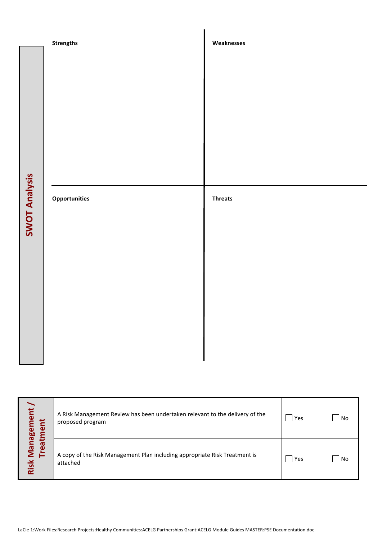|                      | <b>Strengths</b> | Weaknesses     |
|----------------------|------------------|----------------|
| <b>SWOT Analysis</b> | Opportunities    | <b>Threats</b> |
|                      |                  |                |

|                                                                                                                                    | A Risk Management Review has been undertaken relevant to the delivery of the<br>proposed program | <b>Yes</b> | $\overline{\phantom{a}}$ No |  |  |  |
|------------------------------------------------------------------------------------------------------------------------------------|--------------------------------------------------------------------------------------------------|------------|-----------------------------|--|--|--|
| Risk Management<br>Treatment                                                                                                       | A copy of the Risk Management Plan including appropriate Risk Treatment is<br>attached           | Yes        | $\overline{\phantom{a}}$ No |  |  |  |
|                                                                                                                                    |                                                                                                  |            |                             |  |  |  |
| LaCie 1:Work Files:Research Projects:Healthy Communities:ACELG Partnerships Grant:ACELG Module Guides MASTER:PSE Documentation.doc |                                                                                                  |            |                             |  |  |  |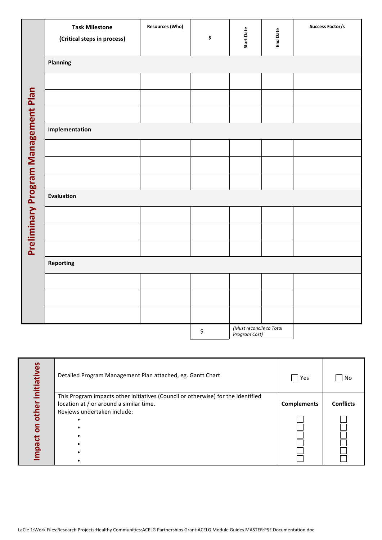|                                     | <b>Task Milestone</b><br>(Critical steps in process) | <b>Resources (Who)</b> | \$ | <b>Start Date</b>                         | <b>End Date</b> | <b>Success Factor/s</b> |  |  |  |
|-------------------------------------|------------------------------------------------------|------------------------|----|-------------------------------------------|-----------------|-------------------------|--|--|--|
|                                     | Planning                                             |                        |    |                                           |                 |                         |  |  |  |
|                                     |                                                      |                        |    |                                           |                 |                         |  |  |  |
|                                     |                                                      |                        |    |                                           |                 |                         |  |  |  |
|                                     |                                                      |                        |    |                                           |                 |                         |  |  |  |
| Preliminary Program Management Plan | Implementation                                       |                        |    |                                           |                 |                         |  |  |  |
|                                     |                                                      |                        |    |                                           |                 |                         |  |  |  |
|                                     |                                                      |                        |    |                                           |                 |                         |  |  |  |
|                                     |                                                      |                        |    |                                           |                 |                         |  |  |  |
|                                     | <b>Evaluation</b>                                    |                        |    |                                           |                 |                         |  |  |  |
|                                     |                                                      |                        |    |                                           |                 |                         |  |  |  |
|                                     |                                                      |                        |    |                                           |                 |                         |  |  |  |
|                                     |                                                      |                        |    |                                           |                 |                         |  |  |  |
|                                     | Reporting                                            |                        |    |                                           |                 |                         |  |  |  |
|                                     |                                                      |                        |    |                                           |                 |                         |  |  |  |
|                                     |                                                      |                        |    |                                           |                 |                         |  |  |  |
|                                     |                                                      |                        |    |                                           |                 |                         |  |  |  |
|                                     |                                                      |                        | \$ | (Must reconcile to Total<br>Program Cost) |                 |                         |  |  |  |

| initiatives    | Detailed Program Management Plan attached, eg. Gantt Chart                                                                                                 | $\Box$<br>Yes      | $\blacksquare$ No |  |  |  |
|----------------|------------------------------------------------------------------------------------------------------------------------------------------------------------|--------------------|-------------------|--|--|--|
| mpact on other | This Program impacts other initiatives (Council or otherwise) for the identified<br>location at / or around a similar time.<br>Reviews undertaken include: | <b>Complements</b> | <b>Conflicts</b>  |  |  |  |
|                |                                                                                                                                                            |                    |                   |  |  |  |
|                | LaCie 1:Work Files:Research Projects:Healthy Communities:ACELG Partnerships Grant:ACELG Module Guides MASTER:PSE Documentation.doc                         |                    |                   |  |  |  |